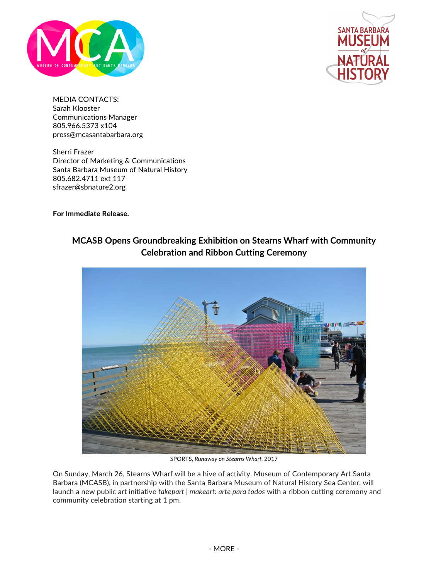



MEDIA CONTACTS: Sarah Klooster Communications Manager 805.966.5373 x104 press@mcasantabarbara.org

Sherri Frazer Director of Marketing & Communications Santa Barbara Museum of Natural History 805.682.4711 ext 117 sfrazer@sbnature2.org

**For Immediate Release.**

## **MCASB Opens Groundbreaking Exhibition on Stearns Wharf with Community Celebration and Ribbon Cutting Ceremony**



SPORTS, *Runaway on Stearns Wharf*, 2017

On Sunday, March 26, Stearns Wharf will be a hive of activity. Museum of Contemporary Art Santa Barbara (MCASB), in partnership with the Santa Barbara Museum of Natural History Sea Center, will launch a new public art initiative *takepart | makeart: arte para todos* with a ribbon cutting ceremony and community celebration starting at 1 pm.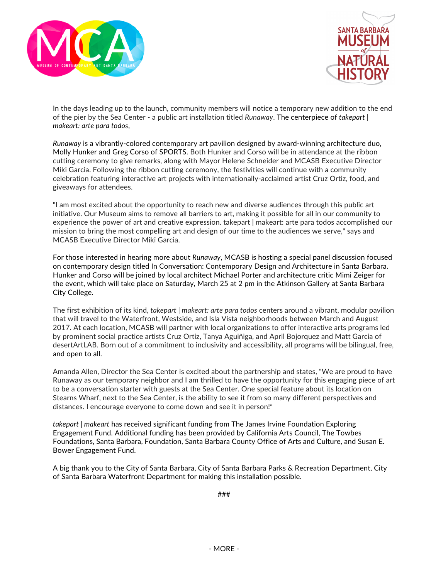



In the days leading up to the launch, community members will notice a temporary new addition to the end of the pier by the Sea Center - a public art installation titled *Runaway*. The centerpiece of *takepart | makeart: arte para todos*,

*Runaway* is a vibrantly-colored contemporary art pavilion designed by award-winning architecture duo, Molly Hunker and Greg Corso of SPORTS. Both Hunker and Corso will be in attendance at the ribbon cutting ceremony to give remarks, along with Mayor Helene Schneider and MCASB Executive Director Miki Garcia. Following the ribbon cutting ceremony, the festivities will continue with a community celebration featuring interactive art projects with internationally-acclaimed artist Cruz Ortiz, food, and giveaways for attendees.

"I am most excited about the opportunity to reach new and diverse audiences through this public art initiative. Our Museum aims to remove all barriers to art, making it possible for all in our community to experience the power of art and creative expression. takepart | makeart: arte para todos accomplished our mission to bring the most compelling art and design of our time to the audiences we serve," says and MCASB Executive Director Miki Garcia.

For those interested in hearing more about *Runaway*, MCASB is hosting a special panel discussion focused on contemporary design titled In Conversation: Contemporary Design and Architecture in Santa Barbara. Hunker and Corso will be joined by local architect Michael Porter and architecture critic Mimi Zeiger for the event, which will take place on Saturday, March 25 at 2 pm in the Atkinson Gallery at Santa Barbara City College.

The first exhibition of its kind, *takepart | makeart: arte para todos* centers around a vibrant, modular pavilion that will travel to the Waterfront, Westside, and Isla Vista neighborhoods between March and August 2017. At each location, MCASB will partner with local organizations to offer interactive arts programs led by prominent social practice artists Cruz Ortiz, Tanya Aguiñiga, and April Bojorquez and Matt Garcia of desertArtLAB. Born out of a commitment to inclusivity and accessibility, all programs will be bilingual, free, and open to all.

Amanda Allen, Director the Sea Center is excited about the partnership and states, "We are proud to have Runaway as our temporary neighbor and I am thrilled to have the opportunity for this engaging piece of art to be a conversation starter with guests at the Sea Center. One special feature about its location on Stearns Wharf, next to the Sea Center, is the ability to see it from so many different perspectives and distances. I encourage everyone to come down and see it in person!"

*takepart | makeart* has received significant funding from The James Irvine Foundation Exploring Engagement Fund. Additional funding has been provided by California Arts Council, The Towbes Foundations, Santa Barbara, Foundation, Santa Barbara County Office of Arts and Culture, and Susan E. Bower Engagement Fund.

A big thank you to the City of Santa Barbara, City of Santa Barbara Parks & Recreation Department, City of Santa Barbara Waterfront Department for making this installation possible.

###